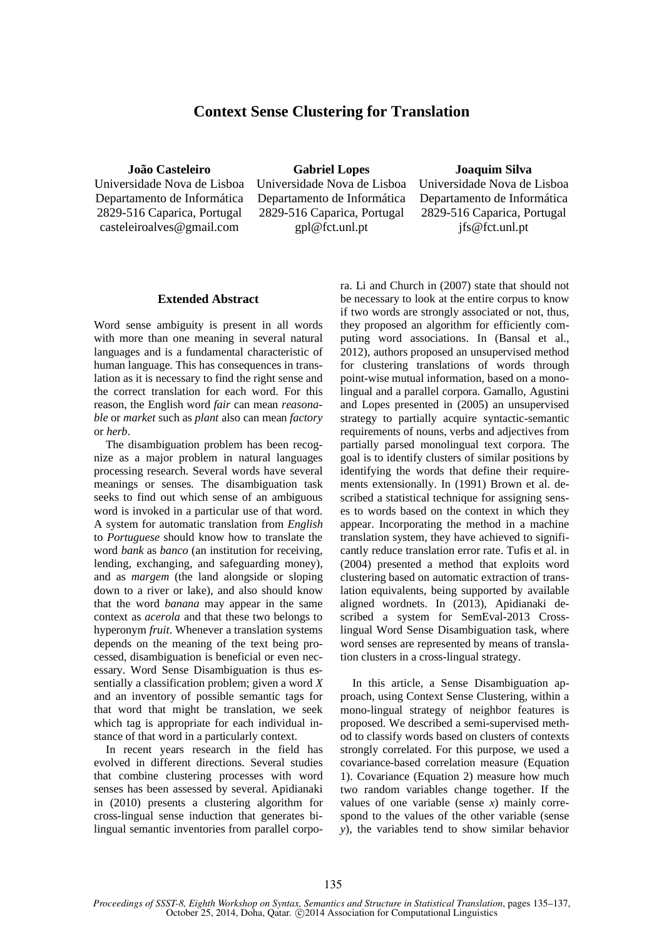## **Context Sense Clustering for Translation**

**João Casteleiro**

Universidade Nova de Lisboa Departamento de Informática 2829-516 Caparica, Portugal casteleiroalves@gmail.com

**Gabriel Lopes** Universidade Nova de Lisboa Departamento de Informática 2829-516 Caparica, Portugal gpl@fct.unl.pt

## **Joaquim Silva**

Universidade Nova de Lisboa Departamento de Informática 2829-516 Caparica, Portugal jfs@fct.unl.pt

## **Extended Abstract**

Word sense ambiguity is present in all words with more than one meaning in several natural languages and is a fundamental characteristic of human language. This has consequences in translation as it is necessary to find the right sense and the correct translation for each word. For this reason, the English word *fair* can mean *reasonable* or *market* such as *plant* also can mean *factory* or *herb*.

The disambiguation problem has been recognize as a major problem in natural languages processing research. Several words have several meanings or senses. The disambiguation task seeks to find out which sense of an ambiguous word is invoked in a particular use of that word. A system for automatic translation from *English* to *Portuguese* should know how to translate the word *bank* as *banco* (an institution for receiving, lending, exchanging, and safeguarding money), and as *margem* (the land alongside or sloping down to a river or lake), and also should know that the word *banana* may appear in the same context as *acerola* and that these two belongs to hyperonym *fruit*. Whenever a translation systems depends on the meaning of the text being processed, disambiguation is beneficial or even necessary. Word Sense Disambiguation is thus essentially a classification problem; given a word *X* and an inventory of possible semantic tags for that word that might be translation, we seek which tag is appropriate for each individual instance of that word in a particularly context.

In recent years research in the field has evolved in different directions. Several studies that combine clustering processes with word senses has been assessed by several. Apidianaki in (2010) presents a clustering algorithm for cross-lingual sense induction that generates bilingual semantic inventories from parallel corpora. Li and Church in (2007) state that should not be necessary to look at the entire corpus to know if two words are strongly associated or not, thus, they proposed an algorithm for efficiently computing word associations. In (Bansal et al., 2012), authors proposed an unsupervised method for clustering translations of words through point-wise mutual information, based on a monolingual and a parallel corpora. Gamallo, Agustini and Lopes presented in (2005) an unsupervised strategy to partially acquire syntactic-semantic requirements of nouns, verbs and adjectives from partially parsed monolingual text corpora. The goal is to identify clusters of similar positions by identifying the words that define their requirements extensionally. In (1991) Brown et al. described a statistical technique for assigning senses to words based on the context in which they appear. Incorporating the method in a machine translation system, they have achieved to significantly reduce translation error rate. Tufis et al. in (2004) presented a method that exploits word clustering based on automatic extraction of translation equivalents, being supported by available aligned wordnets. In (2013), Apidianaki described a system for SemEval-2013 Crosslingual Word Sense Disambiguation task, where word senses are represented by means of translation clusters in a cross-lingual strategy.

In this article, a Sense Disambiguation approach, using Context Sense Clustering, within a mono-lingual strategy of neighbor features is proposed. We described a semi-supervised method to classify words based on clusters of contexts strongly correlated. For this purpose, we used a covariance-based correlation measure (Equation 1). Covariance (Equation 2) measure how much two random variables change together. If the values of one variable (sense *x*) mainly correspond to the values of the other variable (sense *y*), the variables tend to show similar behavior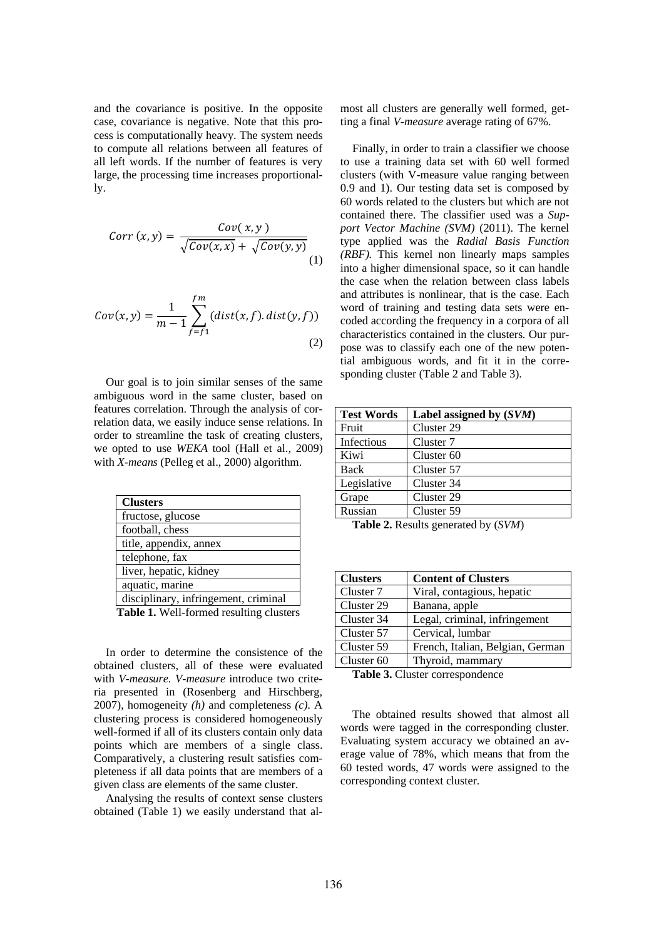and the covariance is positive. In the opposite case, covariance is negative. Note that this process is computationally heavy. The system needs to compute all relations between all features of all left words. If the number of features is very large, the processing time increases proportionally.

$$
Corr(x,y) = \frac{Cov(x,y)}{\sqrt{Cov(x,x)} + \sqrt{Cov(y,y)}}\tag{1}
$$

$$
Cov(x, y) = \frac{1}{m-1} \sum_{f=f_1}^{fm} (dist(x, f). dist(y, f))
$$
\n(2)

Our goal is to join similar senses of the same ambiguous word in the same cluster, based on features correlation. Through the analysis of correlation data, we easily induce sense relations. In order to streamline the task of creating clusters, we opted to use *WEKA* tool (Hall et al., 2009) with *X-means* (Pelleg et al., 2000) algorithm.

| <b>Clusters</b>                         |
|-----------------------------------------|
| fructose, glucose                       |
| football, chess                         |
| title, appendix, annex                  |
| telephone, fax                          |
| liver, hepatic, kidney                  |
| aquatic, marine                         |
| disciplinary, infringement, criminal    |
| Table 1. Well-formed resulting clusters |

In order to determine the consistence of the obtained clusters, all of these were evaluated with *V-measure*. *V-measure* introduce two criteria presented in (Rosenberg and Hirschberg, 2007), homogeneity *(h)* and completeness *(c).* A clustering process is considered homogeneously well-formed if all of its clusters contain only data points which are members of a single class. Comparatively, a clustering result satisfies completeness if all data points that are members of a given class are elements of the same cluster.

Analysing the results of context sense clusters obtained (Table 1) we easily understand that almost all clusters are generally well formed, getting a final *V-measure* average rating of 67%.

Finally, in order to train a classifier we choose to use a training data set with 60 well formed clusters (with V-measure value ranging between 0.9 and 1). Our testing data set is composed by 60 words related to the clusters but which are not contained there. The classifier used was a *Support Vector Machine (SVM)* (2011). The kernel type applied was the *Radial Basis Function (RBF).* This kernel non linearly maps samples into a higher dimensional space, so it can handle the case when the relation between class labels and attributes is nonlinear, that is the case. Each word of training and testing data sets were encoded according the frequency in a corpora of all characteristics contained in the clusters. Our purpose was to classify each one of the new potential ambiguous words, and fit it in the corresponding cluster (Table 2 and Table 3).

| <b>Test Words</b> | Label assigned by (SVM) |
|-------------------|-------------------------|
| Fruit             | Cluster 29              |
| Infectious        | Cluster 7               |
| Kiwi              | Cluster <sub>60</sub>   |
| Back              | Cluster 57              |
| Legislative       | Cluster 34              |
| Grape             | Cluster 29              |
| Russian           | Cluster 59              |

**Table 2.** Results generated by (*SVM*)

| <b>Clusters</b>       | <b>Content of Clusters</b>       |
|-----------------------|----------------------------------|
| Cluster 7             | Viral, contagious, hepatic       |
| Cluster 29            | Banana, apple                    |
| Cluster 34            | Legal, criminal, infringement    |
| Cluster 57            | Cervical, lumbar                 |
| Cluster 59            | French, Italian, Belgian, German |
| Cluster <sub>60</sub> | Thyroid, mammary                 |

**Table 3.** Cluster correspondence

The obtained results showed that almost all words were tagged in the corresponding cluster. Evaluating system accuracy we obtained an average value of 78%, which means that from the 60 tested words, 47 words were assigned to the corresponding context cluster.